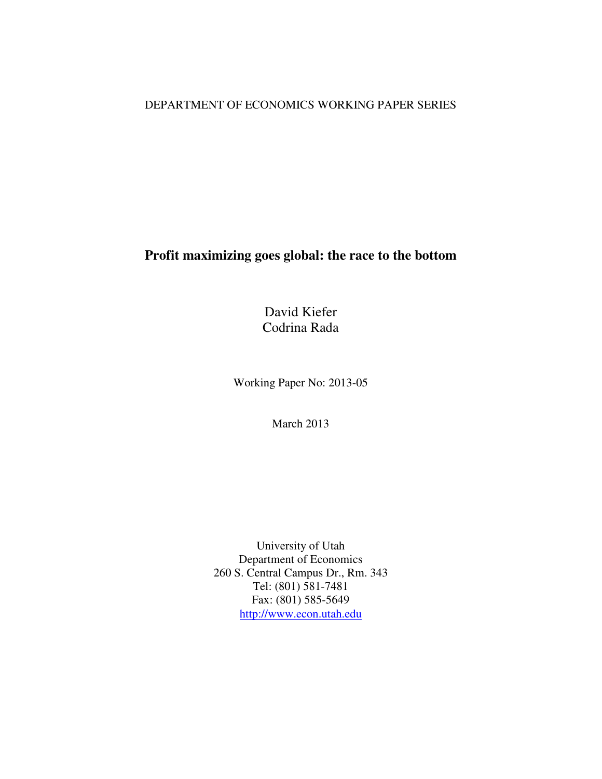# DEPARTMENT OF ECONOMICS WORKING PAPER SERIES

# **Profit maximizing goes global: the race to the bottom**

David Kiefer Codrina Rada

Working Paper No: 2013-05

March 2013

University of Utah Department of Economics 260 S. Central Campus Dr., Rm. 343 Tel: (801) 581-7481 Fax: (801) 585-5649 http://www.econ.utah.edu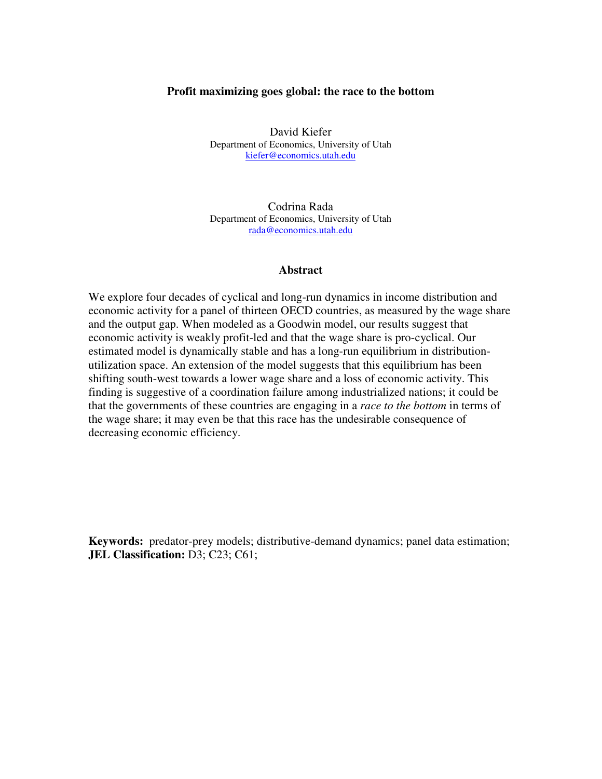#### **Profit maximizing goes global: the race to the bottom**

David Kiefer Department of Economics, University of Utah kiefer@economics.utah.edu

Codrina Rada Department of Economics, University of Utah rada@economics.utah.edu

#### **Abstract**

We explore four decades of cyclical and long-run dynamics in income distribution and economic activity for a panel of thirteen OECD countries, as measured by the wage share and the output gap. When modeled as a Goodwin model, our results suggest that economic activity is weakly profit-led and that the wage share is pro-cyclical. Our estimated model is dynamically stable and has a long-run equilibrium in distributionutilization space. An extension of the model suggests that this equilibrium has been shifting south-west towards a lower wage share and a loss of economic activity. This finding is suggestive of a coordination failure among industrialized nations; it could be that the governments of these countries are engaging in a *race to the bottom* in terms of the wage share; it may even be that this race has the undesirable consequence of decreasing economic efficiency.

**Keywords:** predator-prey models; distributive-demand dynamics; panel data estimation; **JEL Classification:** D3; C23; C61;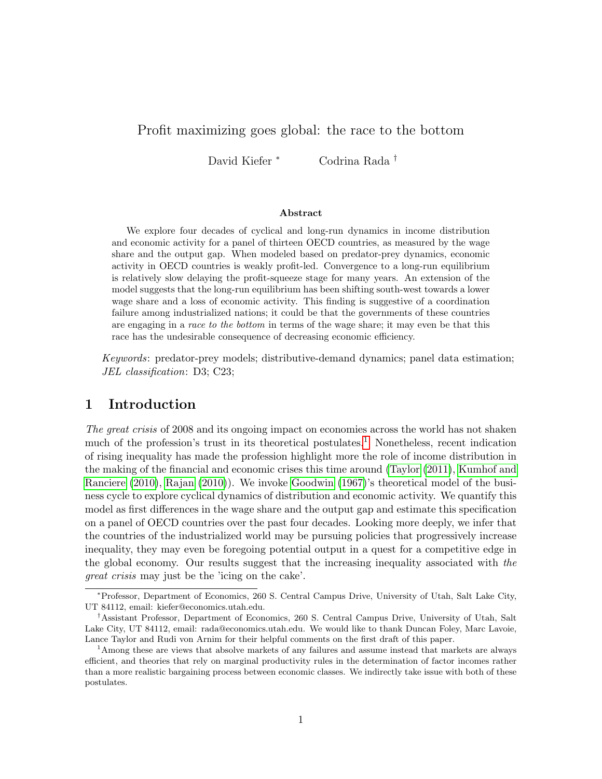## Profit maximizing goes global: the race to the bottom

David Kiefer <sup>∗</sup> Codrina Rada †

#### Abstract

We explore four decades of cyclical and long-run dynamics in income distribution and economic activity for a panel of thirteen OECD countries, as measured by the wage share and the output gap. When modeled based on predator-prey dynamics, economic activity in OECD countries is weakly profit-led. Convergence to a long-run equilibrium is relatively slow delaying the profit-squeeze stage for many years. An extension of the model suggests that the long-run equilibrium has been shifting south-west towards a lower wage share and a loss of economic activity. This finding is suggestive of a coordination failure among industrialized nations; it could be that the governments of these countries are engaging in a race to the bottom in terms of the wage share; it may even be that this race has the undesirable consequence of decreasing economic efficiency.

Keywords: predator-prey models; distributive-demand dynamics; panel data estimation; JEL classification: D3; C23;

## 1 Introduction

The great crisis of 2008 and its ongoing impact on economies across the world has not shaken much of the profession's trust in its theoretical postulates.<sup>1</sup> Nonetheless, recent indication of rising inequality has made the profession highlight more the role of income distribution in the making of the financial and economic crises this time around (Taylor (2011), Kumhof and Ranciere (2010), Rajan (2010)). We invoke Goodwin (1967)'s theoretical model of the business cycle to explore cyclical dynamics of distribution and economic activity. We quantify this model as first differences in the wage share and the output gap and estimate this specification on a panel of OECD countries over the past four decades. Looking more deeply, we infer that the countries of the industrialized world may be pursuing policies that progressively increase inequality, they may even be foregoing potential output in a quest for a competitive edge in the global economy. Our results suggest that the increasing inequality associated with the great crisis may just be the 'icing on the cake'.

<sup>∗</sup>Professor, Department of Economics, 260 S. Central Campus Drive, University of Utah, Salt Lake City, UT 84112, email: kiefer@economics.utah.edu.

<sup>†</sup>Assistant Professor, Department of Economics, 260 S. Central Campus Drive, University of Utah, Salt Lake City, UT 84112, email: rada@economics.utah.edu. We would like to thank Duncan Foley, Marc Lavoie, Lance Taylor and Rudi von Arnim for their helpful comments on the first draft of this paper.

<sup>&</sup>lt;sup>1</sup>Among these are views that absolve markets of any failures and assume instead that markets are always efficient, and theories that rely on marginal productivity rules in the determination of factor incomes rather than a more realistic bargaining process between economic classes. We indirectly take issue with both of these postulates.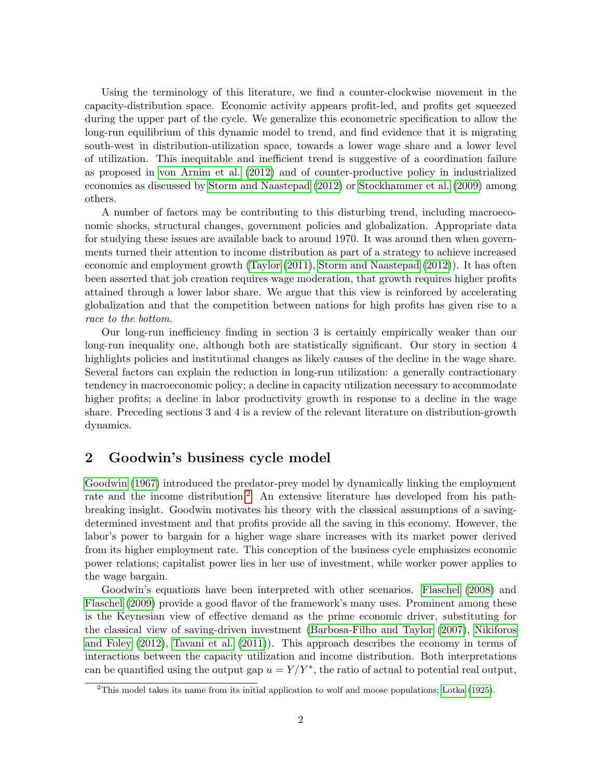Using the terminology of this literature, we find a counter-clockwise movement in the capacity-distribution space. Economic activity appears profit-led, and profits get squeezed during the upper part of the cycle. We generalize this econometric specification to allow the long-run equilibrium of this dynamic model to trend, and find evidence that it is migrating south-west in distribution-utilization space, towards a lower wage share and a lower level of utilization. This inequitable and inefficient trend is suggestive of a coordination failure as proposed in von Arnim et al. (2012) and of counter-productive policy in industrialized economies as discussed by Storm and Naastepad (2012) or Stockhammer et al. (2009) among others.

A number of factors may be contributing to this disturbing trend, including macroeconomic shocks, structural changes, government policies and globalization. Appropriate data for studying these issues are available back to around 1970. It was around then when governments turned their attention to income distribution as part of a strategy to achieve increased economic and employment growth (Taylor (2011), Storm and Naastepad (2012)). It has often been asserted that job creation requires wage moderation, that growth requires higher profits attained through a lower labor share. We argue that this view is reinforced by accelerating globalization and that the competition between nations for high profits has given rise to a race to the bottom.

Our long-run inefficiency finding in section 3 is certainly empirically weaker than our long-run inequality one, although both are statistically significant. Our story in section 4 highlights policies and institutional changes as likely causes of the decline in the wage share. Several factors can explain the reduction in long-run utilization: a generally contractionary tendency in macroeconomic policy; a decline in capacity utilization necessary to accommodate higher profits; a decline in labor productivity growth in response to a decline in the wage share. Preceding sections 3 and 4 is a review of the relevant literature on distribution-growth dynamics.

### 2 Goodwin's business cycle model

Goodwin (1967) introduced the predator-prey model by dynamically linking the employment rate and the income distribution.<sup>2</sup> An extensive literature has developed from his pathbreaking insight. Goodwin motivates his theory with the classical assumptions of a savingdetermined investment and that profits provide all the saving in this economy. However, the labor's power to bargain for a higher wage share increases with its market power derived from its higher employment rate. This conception of the business cycle emphasizes economic power relations; capitalist power lies in her use of investment, while worker power applies to the wage bargain.

Goodwin's equations have been interpreted with other scenarios. Flaschel (2008) and Flaschel (2009) provide a good flavor of the framework's many uses. Prominent among these is the Keynesian view of effective demand as the prime economic driver, substituting for the classical view of saving-driven investment (Barbosa-Filho and Taylor (2007), Nikiforos and Foley (2012), Tavani et al. (2011)). This approach describes the economy in terms of interactions between the capacity utilization and income distribution. Both interpretations can be quantified using the output gap  $u = Y/Y^*$ , the ratio of actual to potential real output,

<sup>2</sup>This model takes its name from its initial application to wolf and moose populations; Lotka (1925).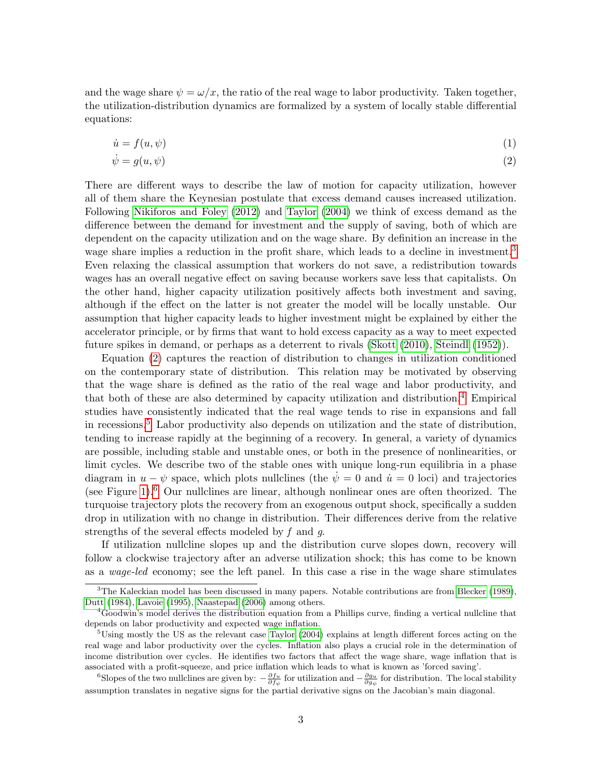and the wage share  $\psi = \omega/x$ , the ratio of the real wage to labor productivity. Taken together, the utilization-distribution dynamics are formalized by a system of locally stable differential equations:

$$
\dot{u} = f(u, \psi) \tag{1}
$$

$$
\dot{\psi} = g(u, \psi) \tag{2}
$$

There are different ways to describe the law of motion for capacity utilization, however all of them share the Keynesian postulate that excess demand causes increased utilization. Following Nikiforos and Foley (2012) and Taylor (2004) we think of excess demand as the difference between the demand for investment and the supply of saving, both of which are dependent on the capacity utilization and on the wage share. By definition an increase in the wage share implies a reduction in the profit share, which leads to a decline in investment.<sup>3</sup> Even relaxing the classical assumption that workers do not save, a redistribution towards wages has an overall negative effect on saving because workers save less that capitalists. On the other hand, higher capacity utilization positively affects both investment and saving, although if the effect on the latter is not greater the model will be locally unstable. Our assumption that higher capacity leads to higher investment might be explained by either the accelerator principle, or by firms that want to hold excess capacity as a way to meet expected future spikes in demand, or perhaps as a deterrent to rivals (Skott (2010), Steindl (1952)).

Equation (2) captures the reaction of distribution to changes in utilization conditioned on the contemporary state of distribution. This relation may be motivated by observing that the wage share is defined as the ratio of the real wage and labor productivity, and that both of these are also determined by capacity utilization and distribution.4 Empirical studies have consistently indicated that the real wage tends to rise in expansions and fall in recessions.5 Labor productivity also depends on utilization and the state of distribution, tending to increase rapidly at the beginning of a recovery. In general, a variety of dynamics are possible, including stable and unstable ones, or both in the presence of nonlinearities, or limit cycles. We describe two of the stable ones with unique long-run equilibria in a phase diagram in  $u - \psi$  space, which plots nullclines (the  $\psi = 0$  and  $\dot{u} = 0$  loci) and trajectories (see Figure 1).6 Our nullclines are linear, although nonlinear ones are often theorized. The turquoise trajectory plots the recovery from an exogenous output shock, specifically a sudden drop in utilization with no change in distribution. Their differences derive from the relative strengths of the several effects modeled by f and g.

If utilization nullcline slopes up and the distribution curve slopes down, recovery will follow a clockwise trajectory after an adverse utilization shock; this has come to be known as a wage-led economy; see the left panel. In this case a rise in the wage share stimulates

<sup>6</sup>Slopes of the two nullclines are given by:  $-\frac{\partial f_u}{\partial f_{\psi}}$  for utilization and  $-\frac{\partial g_u}{\partial g_{\psi}}$  for distribution. The local stability assumption translates in negative signs for the partial derivative signs on the Jacobian's main diagonal.

 ${}^{3}$ The Kaleckian model has been discussed in many papers. Notable contributions are from Blecker (1989), Dutt (1984), Lavoie (1995), Naastepad (2006) among others.

<sup>&</sup>lt;sup>4</sup>Goodwin's model derives the distribution equation from a Phillips curve, finding a vertical nullcline that depends on labor productivity and expected wage inflation.

 $5^5$ Using mostly the US as the relevant case Taylor (2004) explains at length different forces acting on the real wage and labor productivity over the cycles. Inflation also plays a crucial role in the determination of income distribution over cycles. He identifies two factors that affect the wage share, wage inflation that is associated with a profit-squeeze, and price inflation which leads to what is known as 'forced saving'.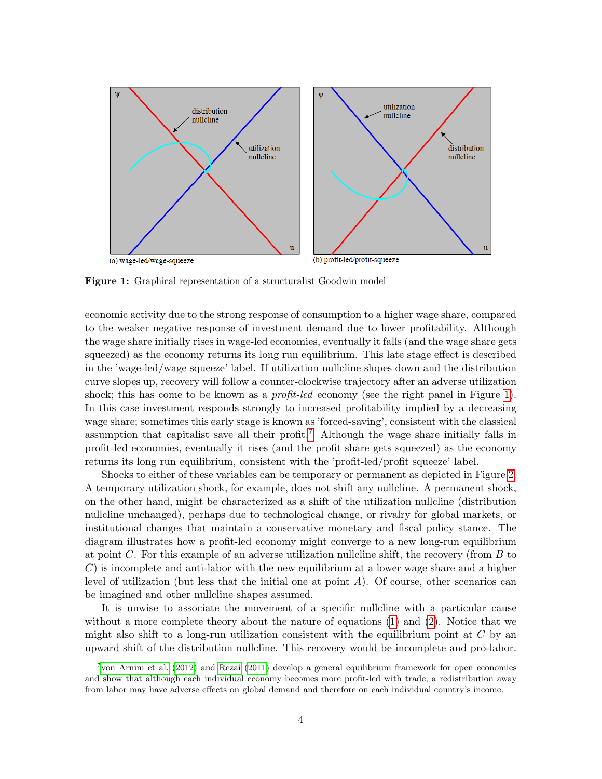

Figure 1: Graphical representation of a structuralist Goodwin model

economic activity due to the strong response of consumption to a higher wage share, compared to the weaker negative response of investment demand due to lower profitability. Although the wage share initially rises in wage-led economies, eventually it falls (and the wage share gets squeezed) as the economy returns its long run equilibrium. This late stage effect is described in the 'wage-led/wage squeeze' label. If utilization nullcline slopes down and the distribution curve slopes up, recovery will follow a counter-clockwise trajectory after an adverse utilization shock; this has come to be known as a *profit-led* economy (see the right panel in Figure 1). In this case investment responds strongly to increased profitability implied by a decreasing wage share; sometimes this early stage is known as 'forced-saving', consistent with the classical assumption that capitalist save all their profit.<sup>7</sup> Although the wage share initially falls in profit-led economies, eventually it rises (and the profit share gets squeezed) as the economy returns its long run equilibrium, consistent with the 'profit-led/profit squeeze' label.

Shocks to either of these variables can be temporary or permanent as depicted in Figure 2. A temporary utilization shock, for example, does not shift any nullcline. A permanent shock, on the other hand, might be characterized as a shift of the utilization nullcline (distribution nullcline unchanged), perhaps due to technological change, or rivalry for global markets, or institutional changes that maintain a conservative monetary and fiscal policy stance. The diagram illustrates how a profit-led economy might converge to a new long-run equilibrium at point C. For this example of an adverse utilization nullcline shift, the recovery (from B to  $C$ ) is incomplete and anti-labor with the new equilibrium at a lower wage share and a higher level of utilization (but less that the initial one at point  $A$ ). Of course, other scenarios can be imagined and other nullcline shapes assumed.

It is unwise to associate the movement of a specific nullcline with a particular cause without a more complete theory about the nature of equations (1) and (2). Notice that we might also shift to a long-run utilization consistent with the equilibrium point at  $C$  by an upward shift of the distribution nullcline. This recovery would be incomplete and pro-labor.

<sup>7</sup> von Arnim et al. (2012) and Rezai (2011) develop a general equilibrium framework for open economies and show that although each individual economy becomes more profit-led with trade, a redistribution away from labor may have adverse effects on global demand and therefore on each individual country's income.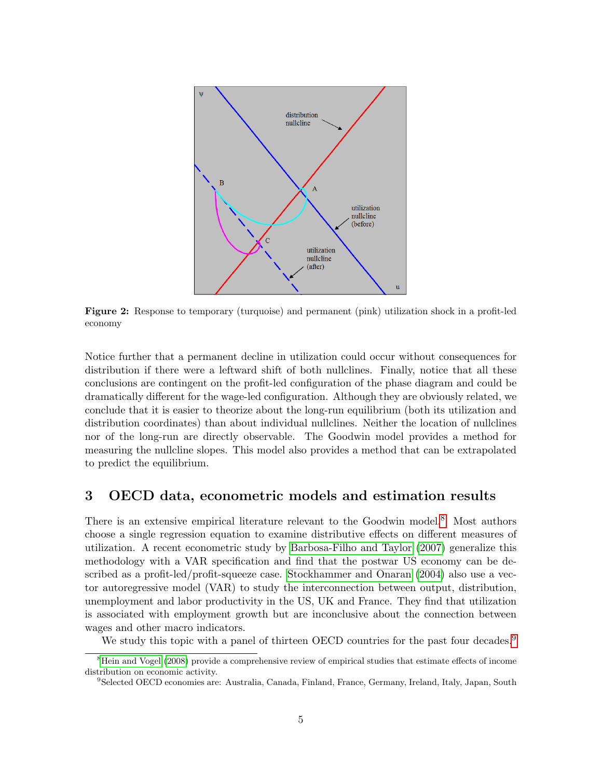

Figure 2: Response to temporary (turquoise) and permanent (pink) utilization shock in a profit-led economy

Notice further that a permanent decline in utilization could occur without consequences for distribution if there were a leftward shift of both nullclines. Finally, notice that all these conclusions are contingent on the profit-led configuration of the phase diagram and could be dramatically different for the wage-led configuration. Although they are obviously related, we conclude that it is easier to theorize about the long-run equilibrium (both its utilization and distribution coordinates) than about individual nullclines. Neither the location of nullclines nor of the long-run are directly observable. The Goodwin model provides a method for measuring the nullcline slopes. This model also provides a method that can be extrapolated to predict the equilibrium.

# 3 OECD data, econometric models and estimation results

There is an extensive empirical literature relevant to the Goodwin model.<sup>8</sup> Most authors choose a single regression equation to examine distributive effects on different measures of utilization. A recent econometric study by Barbosa-Filho and Taylor (2007) generalize this methodology with a VAR specification and find that the postwar US economy can be described as a profit-led/profit-squeeze case. Stockhammer and Onaran (2004) also use a vector autoregressive model (VAR) to study the interconnection between output, distribution, unemployment and labor productivity in the US, UK and France. They find that utilization is associated with employment growth but are inconclusive about the connection between wages and other macro indicators.

We study this topic with a panel of thirteen OECD countries for the past four decades.<sup>9</sup>

<sup>&</sup>lt;sup>8</sup>Hein and Vogel (2008) provide a comprehensive review of empirical studies that estimate effects of income distribution on economic activity.

<sup>9</sup>Selected OECD economies are: Australia, Canada, Finland, France, Germany, Ireland, Italy, Japan, South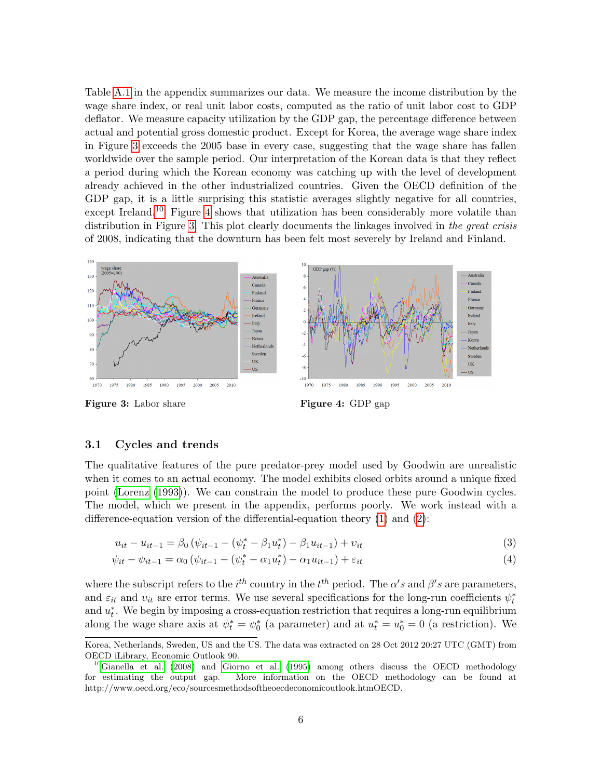Table A.1 in the appendix summarizes our data. We measure the income distribution by the wage share index, or real unit labor costs, computed as the ratio of unit labor cost to GDP deflator. We measure capacity utilization by the GDP gap, the percentage difference between actual and potential gross domestic product. Except for Korea, the average wage share index in Figure 3 exceeds the 2005 base in every case, suggesting that the wage share has fallen worldwide over the sample period. Our interpretation of the Korean data is that they reflect a period during which the Korean economy was catching up with the level of development already achieved in the other industrialized countries. Given the OECD definition of the GDP gap, it is a little surprising this statistic averages slightly negative for all countries, except Ireland.<sup>10</sup> Figure 4 shows that utilization has been considerably more volatile than distribution in Figure 3. This plot clearly documents the linkages involved in the great crisis of 2008, indicating that the downturn has been felt most severely by Ireland and Finland.



Figure 3: Labor share Figure 4: GDP gap

#### 3.1 Cycles and trends

The qualitative features of the pure predator-prey model used by Goodwin are unrealistic when it comes to an actual economy. The model exhibits closed orbits around a unique fixed point (Lorenz (1993)). We can constrain the model to produce these pure Goodwin cycles. The model, which we present in the appendix, performs poorly. We work instead with a difference-equation version of the differential-equation theory (1) and (2):

$$
u_{it} - u_{it-1} = \beta_0 \left( \psi_{it-1} - \left( \psi_t^* - \beta_1 u_t^* \right) - \beta_1 u_{it-1} \right) + v_{it}
$$
\n(3)

$$
\psi_{it} - \psi_{it-1} = \alpha_0 \left( \psi_{it-1} - \left( \psi_t^* - \alpha_1 u_t^* \right) - \alpha_1 u_{it-1} \right) + \varepsilon_{it} \tag{4}
$$

where the subscript refers to the  $i^{th}$  country in the  $t^{th}$  period. The  $\alpha's$  and  $\beta's$  are parameters, and  $\varepsilon_{it}$  and  $v_{it}$  are error terms. We use several specifications for the long-run coefficients  $\psi_t^*$ and  $u_t^*$ . We begin by imposing a cross-equation restriction that requires a long-run equilibrium along the wage share axis at  $\psi_t^* = \psi_0^*$  (a parameter) and at  $u_t^* = u_0^* = 0$  (a restriction). We

Korea, Netherlands, Sweden, US and the US. The data was extracted on 28 Oct 2012 20:27 UTC (GMT) from OECD iLibrary, Economic Outlook 90.

 $10$ Gianella et al. (2008) and Giorno et al. (1995) among others discuss the OECD methodology for estimating the output gap. More information on the OECD methodology can be found at http://www.oecd.org/eco/sourcesmethodsoftheoecdeconomicoutlook.htmOECD.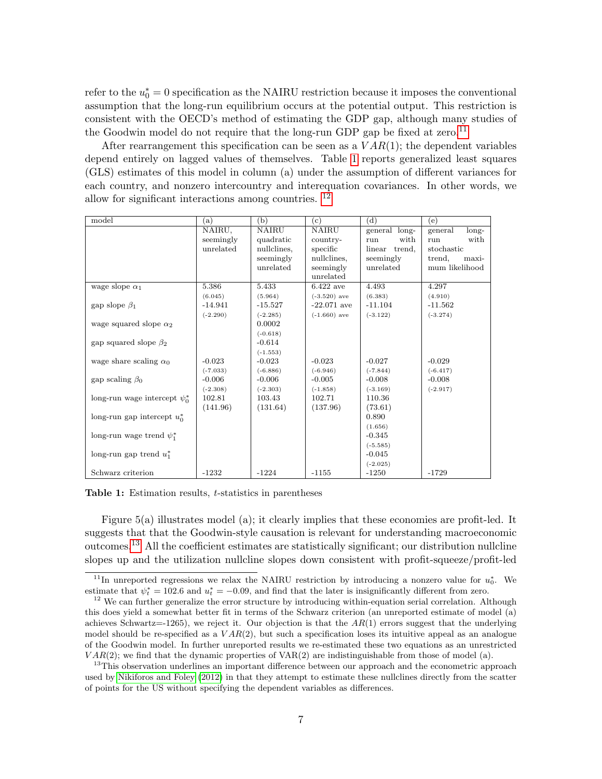refer to the  $u_0^* = 0$  specification as the NAIRU restriction because it imposes the conventional assumption that the long-run equilibrium occurs at the potential output. This restriction is consistent with the OECD's method of estimating the GDP gap, although many studies of the Goodwin model do not require that the long-run GDP gap be fixed at zero.<sup>11</sup>

After rearrangement this specification can be seen as a  $VAR(1)$ ; the dependent variables depend entirely on lagged values of themselves. Table 1 reports generalized least squares (GLS) estimates of this model in column (a) under the assumption of different variances for each country, and nonzero intercountry and interequation covariances. In other words, we allow for significant interactions among countries. 12

| model                              | (a)        | (b)          | (c)            | (d)              | (e)              |
|------------------------------------|------------|--------------|----------------|------------------|------------------|
|                                    | NAIRU,     | <b>NAIRU</b> | <b>NAIRU</b>   | general long-    | long-<br>general |
|                                    | seemingly  | quadratic    | country-       | with<br>run      | with<br>run      |
|                                    | unrelated  | nullclines,  | specific       | linear<br>trend, | stochastic       |
|                                    |            | seemingly    | nullclines,    | seemingly        | trend,<br>maxi-  |
|                                    |            | unrelated    | seemingly      | unrelated        | mum likelihood   |
|                                    |            |              | unrelated      |                  |                  |
| wage slope $\alpha_1$              | 5.386      | 5.433        | $6.422$ ave    | 4.493            | 4.297            |
|                                    | (6.045)    | (5.964)      | $(-3.520)$ ave | (6.383)          | (4.910)          |
| gap slope $\beta_1$                | $-14.941$  | $-15.527$    | $-22.071$ ave  | $-11.104$        | $-11.562$        |
|                                    | $(-2.290)$ | $(-2.285)$   | $(-1.660)$ ave | $(-3.122)$       | $(-3.274)$       |
| wage squared slope $\alpha_2$      |            | 0.0002       |                |                  |                  |
|                                    |            | $(-0.618)$   |                |                  |                  |
| gap squared slope $\beta_2$        |            | $-0.614$     |                |                  |                  |
|                                    |            | $(-1.553)$   |                |                  |                  |
| wage share scaling $\alpha_0$      | $-0.023$   | $-0.023$     | $-0.023$       | $-0.027$         | $-0.029$         |
|                                    | $(-7.033)$ | $(-6.886)$   | $(-6.946)$     | $(-7.844)$       | $(-6.417)$       |
| gap scaling $\beta_0$              | $-0.006$   | $-0.006$     | $-0.005$       | $-0.008$         | $-0.008$         |
|                                    | $(-2.308)$ | $(-2.303)$   | $(-1.858)$     | $(-3.169)$       | $(-2.917)$       |
| long-run wage intercept $\psi_0^*$ | 102.81     | 103.43       | 102.71         | 110.36           |                  |
|                                    | (141.96)   | (131.64)     | (137.96)       | (73.61)          |                  |
| long-run gap intercept $u_0^*$     |            |              |                | 0.890            |                  |
|                                    |            |              |                | (1.656)          |                  |
| long-run wage trend $\psi_1^*$     |            |              |                | $-0.345$         |                  |
|                                    |            |              |                | $(-5.585)$       |                  |
| long-run gap trend $u_1^*$         |            |              |                | $-0.045$         |                  |
|                                    |            |              |                | $(-2.025)$       |                  |
| Schwarz criterion                  | $-1232$    | $-1224$      | $-1155$        | $-1250$          | $-1729$          |

Table 1: Estimation results, t-statistics in parentheses

Figure 5(a) illustrates model (a); it clearly implies that these economies are profit-led. It suggests that that the Goodwin-style causation is relevant for understanding macroeconomic outcomes.13 All the coefficient estimates are statistically significant; our distribution nullcline slopes up and the utilization nullcline slopes down consistent with profit-squeeze/profit-led

<sup>&</sup>lt;sup>11</sup>In unreported regressions we relax the NAIRU restriction by introducing a nonzero value for  $u_0^*$ . We estimate that  $\psi_t^* = 102.6$  and  $u_t^* = -0.09$ , and find that the later is insignificantly different from zero.

<sup>&</sup>lt;sup>12</sup> We can further generalize the error structure by introducing within-equation serial correlation. Although this does yield a somewhat better fit in terms of the Schwarz criterion (an unreported estimate of model (a) achieves Schwartz=-1265), we reject it. Our objection is that the  $AR(1)$  errors suggest that the underlying model should be re-specified as a  $VAR(2)$ , but such a specification loses its intuitive appeal as an analogue of the Goodwin model. In further unreported results we re-estimated these two equations as an unrestricted  $VAR(2)$ ; we find that the dynamic properties of  $VAR(2)$  are indistinguishable from those of model (a).

<sup>&</sup>lt;sup>13</sup>This observation underlines an important difference between our approach and the econometric approach used by Nikiforos and Foley (2012) in that they attempt to estimate these nullclines directly from the scatter of points for the US without specifying the dependent variables as differences.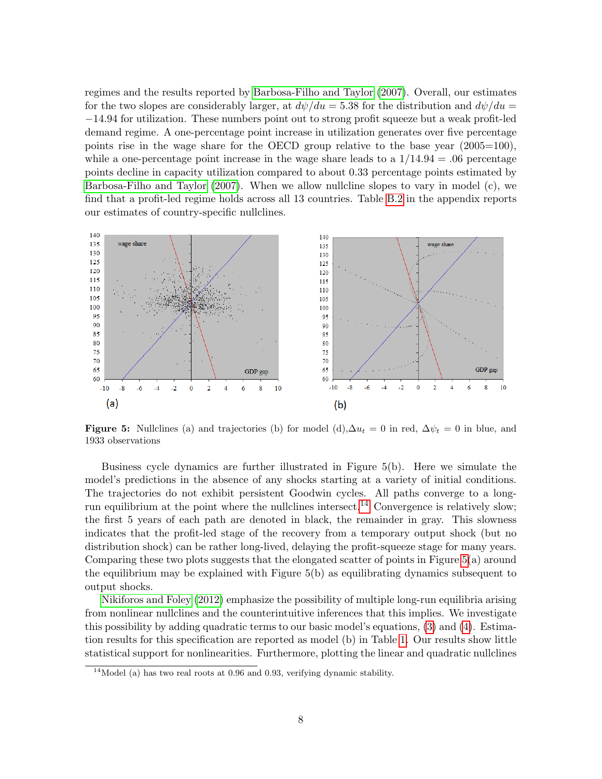regimes and the results reported by Barbosa-Filho and Taylor (2007). Overall, our estimates for the two slopes are considerably larger, at  $d\psi/du = 5.38$  for the distribution and  $d\psi/du =$ −14.94 for utilization. These numbers point out to strong profit squeeze but a weak profit-led demand regime. A one-percentage point increase in utilization generates over five percentage points rise in the wage share for the OECD group relative to the base year (2005=100), while a one-percentage point increase in the wage share leads to a  $1/14.94 = .06$  percentage points decline in capacity utilization compared to about 0.33 percentage points estimated by Barbosa-Filho and Taylor (2007). When we allow nullcline slopes to vary in model (c), we find that a profit-led regime holds across all 13 countries. Table B.2 in the appendix reports our estimates of country-specific nullclines.



Figure 5: Nullclines (a) and trajectories (b) for model (d), $\Delta u_t = 0$  in red,  $\Delta \psi_t = 0$  in blue, and 1933 observations

Business cycle dynamics are further illustrated in Figure 5(b). Here we simulate the model's predictions in the absence of any shocks starting at a variety of initial conditions. The trajectories do not exhibit persistent Goodwin cycles. All paths converge to a longrun equilibrium at the point where the nullclines intersect.<sup>14</sup> Convergence is relatively slow; the first 5 years of each path are denoted in black, the remainder in gray. This slowness indicates that the profit-led stage of the recovery from a temporary output shock (but no distribution shock) can be rather long-lived, delaying the profit-squeeze stage for many years. Comparing these two plots suggests that the elongated scatter of points in Figure 5(a) around the equilibrium may be explained with Figure 5(b) as equilibrating dynamics subsequent to output shocks.

Nikiforos and Foley (2012) emphasize the possibility of multiple long-run equilibria arising from nonlinear nullclines and the counterintuitive inferences that this implies. We investigate this possibility by adding quadratic terms to our basic model's equations, (3) and (4). Estimation results for this specification are reported as model (b) in Table 1. Our results show little statistical support for nonlinearities. Furthermore, plotting the linear and quadratic nullclines

<sup>&</sup>lt;sup>14</sup>Model (a) has two real roots at 0.96 and 0.93, verifying dynamic stability.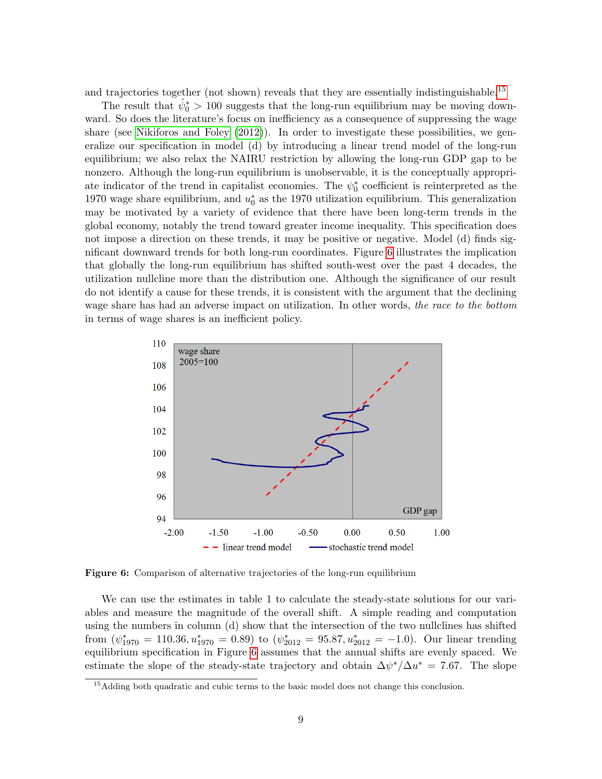and trajectories together (not shown) reveals that they are essentially indistinguishable.<sup>15</sup>

The result that  $\hat{\psi}_0^* > 100$  suggests that the long-run equilibrium may be moving downward. So does the literature's focus on inefficiency as a consequence of suppressing the wage share (see Nikiforos and Foley (2012)). In order to investigate these possibilities, we generalize our specification in model (d) by introducing a linear trend model of the long-run equilibrium; we also relax the NAIRU restriction by allowing the long-run GDP gap to be nonzero. Although the long-run equilibrium is unobservable, it is the conceptually appropriate indicator of the trend in capitalist economies. The  $\psi_0^*$  coefficient is reinterpreted as the 1970 wage share equilibrium, and  $u_0^*$  as the 1970 utilization equilibrium. This generalization may be motivated by a variety of evidence that there have been long-term trends in the global economy, notably the trend toward greater income inequality. This specification does not impose a direction on these trends, it may be positive or negative. Model (d) finds significant downward trends for both long-run coordinates. Figure 6 illustrates the implication that globally the long-run equilibrium has shifted south-west over the past 4 decades, the utilization nullcline more than the distribution one. Although the significance of our result do not identify a cause for these trends, it is consistent with the argument that the declining wage share has had an adverse impact on utilization. In other words, the race to the bottom in terms of wage shares is an inefficient policy.



Figure 6: Comparison of alternative trajectories of the long-run equilibrium

We can use the estimates in table 1 to calculate the steady-state solutions for our variables and measure the magnitude of the overall shift. A simple reading and computation using the numbers in column (d) show that the intersection of the two nullclines has shifted from  $(\psi_{1970}^* = 110.36, u_{1970}^* = 0.89)$  to  $(\psi_{2012}^* = 95.87, u_{2012}^* = -1.0)$ . Our linear trending equilibrium specification in Figure 6 assumes that the annual shifts are evenly spaced. We estimate the slope of the steady-state trajectory and obtain  $\Delta \psi^* / \Delta u^* = 7.67$ . The slope

<sup>&</sup>lt;sup>15</sup>Adding both quadratic and cubic terms to the basic model does not change this conclusion.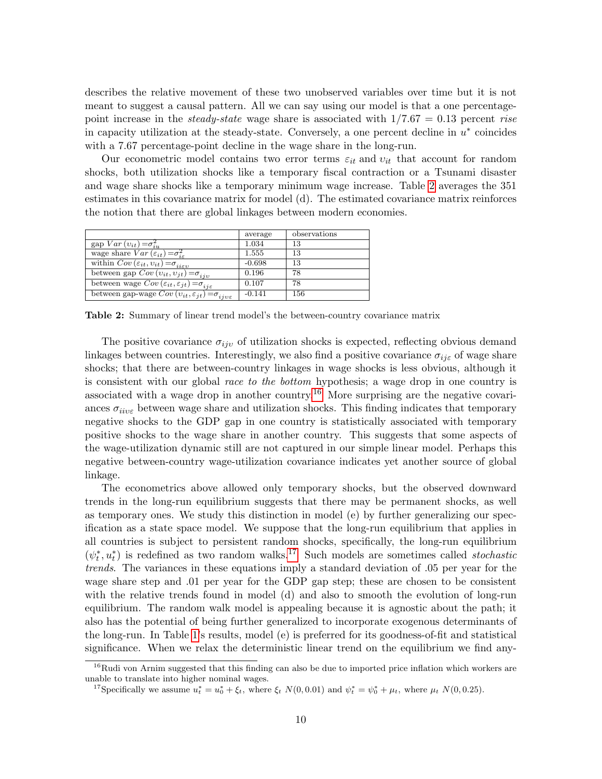describes the relative movement of these two unobserved variables over time but it is not meant to suggest a causal pattern. All we can say using our model is that a one percentagepoint increase in the *steady-state* wage share is associated with  $1/7.67 = 0.13$  percent rise in capacity utilization at the steady-state. Conversely, a one percent decline in  $u^*$  coincides with a 7.67 percentage-point decline in the wage share in the long-run.

Our econometric model contains two error terms  $\varepsilon_{it}$  and  $v_{it}$  that account for random shocks, both utilization shocks like a temporary fiscal contraction or a Tsunami disaster and wage share shocks like a temporary minimum wage increase. Table 2 averages the 351 estimates in this covariance matrix for model (d). The estimated covariance matrix reinforces the notion that there are global linkages between modern economies.

|                                                                                         | average  | observations |
|-----------------------------------------------------------------------------------------|----------|--------------|
| $\overline{\text{gap }Var}(v_{it}) = \sigma_{iu}^2$                                     | 1.034    | 13           |
| wage share $Var(\varepsilon_{it}) = \sigma_{i\varepsilon}^2$                            | 1.555    | 13           |
| within $Cov(\varepsilon_{it}, v_{it}) = \sigma_{ii\varepsilon v}$                       | $-0.698$ | 13           |
| between gap $Cov(v_{it}, v_{jt}) = \sigma_{ijv}$                                        | 0.196    | 78           |
| between wage $Cov\left(\varepsilon_{it},\varepsilon_{jt}\right)=\sigma_{ij\varepsilon}$ | 0.107    | 78           |
| between gap-wage $Cov(v_{it}, \varepsilon_{jt}) = \sigma_{ijv\varepsilon}$              | $-0.141$ | 156          |

Table 2: Summary of linear trend model's the between-country covariance matrix

The positive covariance  $\sigma_{ijv}$  of utilization shocks is expected, reflecting obvious demand linkages between countries. Interestingly, we also find a positive covariance  $\sigma_{ij\epsilon}$  of wage share shocks; that there are between-country linkages in wage shocks is less obvious, although it is consistent with our global race to the bottom hypothesis; a wage drop in one country is associated with a wage drop in another country.<sup>16</sup> More surprising are the negative covariances  $\sigma_{iive}$  between wage share and utilization shocks. This finding indicates that temporary negative shocks to the GDP gap in one country is statistically associated with temporary positive shocks to the wage share in another country. This suggests that some aspects of the wage-utilization dynamic still are not captured in our simple linear model. Perhaps this negative between-country wage-utilization covariance indicates yet another source of global linkage.

The econometrics above allowed only temporary shocks, but the observed downward trends in the long-run equilibrium suggests that there may be permanent shocks, as well as temporary ones. We study this distinction in model (e) by further generalizing our specification as a state space model. We suppose that the long-run equilibrium that applies in all countries is subject to persistent random shocks, specifically, the long-run equilibrium  $(\psi_t^*, u_t^*)$  is redefined as two random walks.<sup>17</sup> Such models are sometimes called *stochastic* trends. The variances in these equations imply a standard deviation of .05 per year for the wage share step and .01 per year for the GDP gap step; these are chosen to be consistent with the relative trends found in model (d) and also to smooth the evolution of long-run equilibrium. The random walk model is appealing because it is agnostic about the path; it also has the potential of being further generalized to incorporate exogenous determinants of the long-run. In Table 1's results, model (e) is preferred for its goodness-of-fit and statistical significance. When we relax the deterministic linear trend on the equilibrium we find any-

 $16$ Rudi von Arnim suggested that this finding can also be due to imported price inflation which workers are unable to translate into higher nominal wages.

<sup>&</sup>lt;sup>17</sup>Specifically we assume  $u_t^* = u_0^* + \xi_t$ , where  $\xi_t$   $N(0, 0.01)$  and  $\psi_t^* = \psi_0^* + \mu_t$ , where  $\mu_t$   $N(0, 0.25)$ .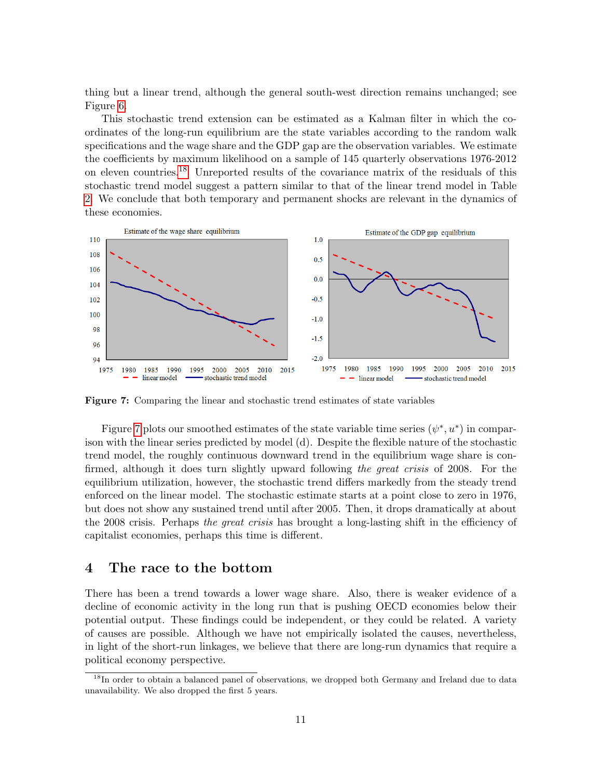thing but a linear trend, although the general south-west direction remains unchanged; see Figure 6.

This stochastic trend extension can be estimated as a Kalman filter in which the coordinates of the long-run equilibrium are the state variables according to the random walk specifications and the wage share and the GDP gap are the observation variables. We estimate the coefficients by maximum likelihood on a sample of 145 quarterly observations 1976-2012 on eleven countries.18 Unreported results of the covariance matrix of the residuals of this stochastic trend model suggest a pattern similar to that of the linear trend model in Table 2. We conclude that both temporary and permanent shocks are relevant in the dynamics of these economies.



Figure 7: Comparing the linear and stochastic trend estimates of state variables

Figure 7 plots our smoothed estimates of the state variable time series  $(\psi^*, u^*)$  in comparison with the linear series predicted by model (d). Despite the flexible nature of the stochastic trend model, the roughly continuous downward trend in the equilibrium wage share is confirmed, although it does turn slightly upward following the great crisis of 2008. For the equilibrium utilization, however, the stochastic trend differs markedly from the steady trend enforced on the linear model. The stochastic estimate starts at a point close to zero in 1976, but does not show any sustained trend until after 2005. Then, it drops dramatically at about the 2008 crisis. Perhaps the great crisis has brought a long-lasting shift in the efficiency of capitalist economies, perhaps this time is different.

#### 4 The race to the bottom

There has been a trend towards a lower wage share. Also, there is weaker evidence of a decline of economic activity in the long run that is pushing OECD economies below their potential output. These findings could be independent, or they could be related. A variety of causes are possible. Although we have not empirically isolated the causes, nevertheless, in light of the short-run linkages, we believe that there are long-run dynamics that require a political economy perspective.

<sup>&</sup>lt;sup>18</sup>In order to obtain a balanced panel of observations, we dropped both Germany and Ireland due to data unavailability. We also dropped the first 5 years.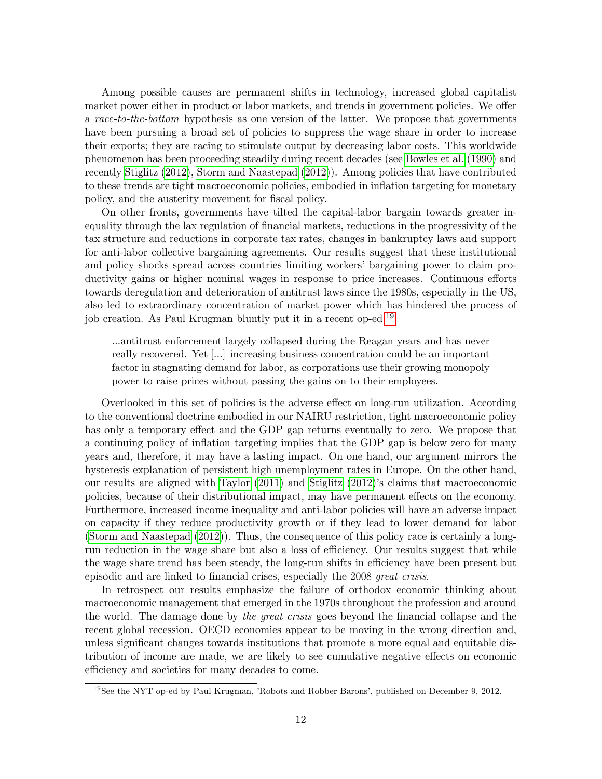Among possible causes are permanent shifts in technology, increased global capitalist market power either in product or labor markets, and trends in government policies. We offer a race-to-the-bottom hypothesis as one version of the latter. We propose that governments have been pursuing a broad set of policies to suppress the wage share in order to increase their exports; they are racing to stimulate output by decreasing labor costs. This worldwide phenomenon has been proceeding steadily during recent decades (see Bowles et al. (1990) and recently Stiglitz (2012), Storm and Naastepad (2012)). Among policies that have contributed to these trends are tight macroeconomic policies, embodied in inflation targeting for monetary policy, and the austerity movement for fiscal policy.

On other fronts, governments have tilted the capital-labor bargain towards greater inequality through the lax regulation of financial markets, reductions in the progressivity of the tax structure and reductions in corporate tax rates, changes in bankruptcy laws and support for anti-labor collective bargaining agreements. Our results suggest that these institutional and policy shocks spread across countries limiting workers' bargaining power to claim productivity gains or higher nominal wages in response to price increases. Continuous efforts towards deregulation and deterioration of antitrust laws since the 1980s, especially in the US, also led to extraordinary concentration of market power which has hindered the process of job creation. As Paul Krugman bluntly put it in a recent op-ed:<sup>19</sup>

...antitrust enforcement largely collapsed during the Reagan years and has never really recovered. Yet [...] increasing business concentration could be an important factor in stagnating demand for labor, as corporations use their growing monopoly power to raise prices without passing the gains on to their employees.

Overlooked in this set of policies is the adverse effect on long-run utilization. According to the conventional doctrine embodied in our NAIRU restriction, tight macroeconomic policy has only a temporary effect and the GDP gap returns eventually to zero. We propose that a continuing policy of inflation targeting implies that the GDP gap is below zero for many years and, therefore, it may have a lasting impact. On one hand, our argument mirrors the hysteresis explanation of persistent high unemployment rates in Europe. On the other hand, our results are aligned with Taylor (2011) and Stiglitz (2012)'s claims that macroeconomic policies, because of their distributional impact, may have permanent effects on the economy. Furthermore, increased income inequality and anti-labor policies will have an adverse impact on capacity if they reduce productivity growth or if they lead to lower demand for labor (Storm and Naastepad (2012)). Thus, the consequence of this policy race is certainly a longrun reduction in the wage share but also a loss of efficiency. Our results suggest that while the wage share trend has been steady, the long-run shifts in efficiency have been present but episodic and are linked to financial crises, especially the 2008 great crisis.

In retrospect our results emphasize the failure of orthodox economic thinking about macroeconomic management that emerged in the 1970s throughout the profession and around the world. The damage done by the great crisis goes beyond the financial collapse and the recent global recession. OECD economies appear to be moving in the wrong direction and, unless significant changes towards institutions that promote a more equal and equitable distribution of income are made, we are likely to see cumulative negative effects on economic efficiency and societies for many decades to come.

<sup>19</sup>See the NYT op-ed by Paul Krugman, 'Robots and Robber Barons', published on December 9, 2012.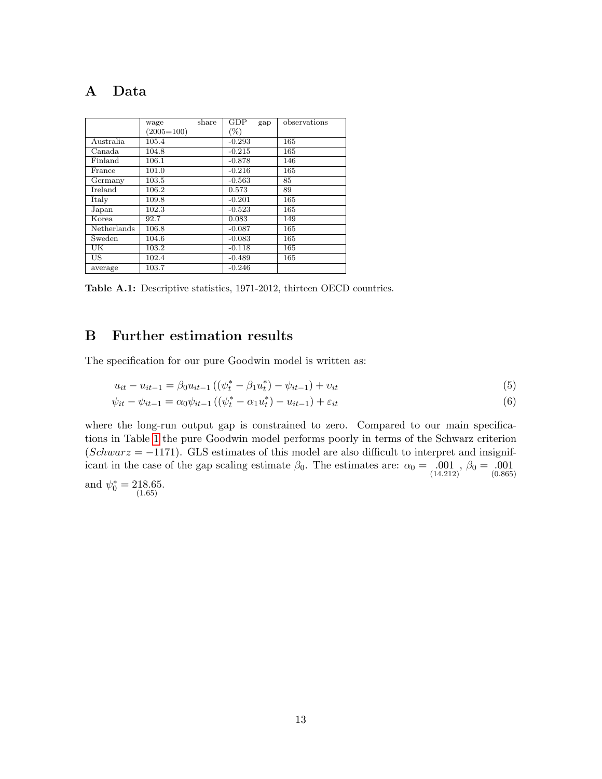# A Data

|             | wage         | share | GDP      | gap | observations |
|-------------|--------------|-------|----------|-----|--------------|
|             | $(2005=100)$ |       | $(\%)$   |     |              |
| Australia   | 105.4        |       | $-0.293$ |     | 165          |
| Canada      | 104.8        |       | $-0.215$ |     | 165          |
| Finland     | 106.1        |       | $-0.878$ |     | 146          |
| France      | 101.0        |       | $-0.216$ |     | 165          |
| Germany     | 103.5        |       | $-0.563$ |     | 85           |
| Ireland     | 106.2        |       | 0.573    |     | 89           |
| Italy       | 109.8        |       | $-0.201$ |     | 165          |
| Japan       | 102.3        |       | $-0.523$ |     | 165          |
| Korea       | 92.7         |       | 0.083    |     | 149          |
| Netherlands | 106.8        |       | $-0.087$ |     | 165          |
| Sweden      | 104.6        |       | $-0.083$ |     | 165          |
| UK          | 103.2        |       | $-0.118$ |     | 165          |
| US.         | 102.4        |       | $-0.489$ |     | 165          |
| average     | 103.7        |       | $-0.246$ |     |              |

Table A.1: Descriptive statistics, 1971-2012, thirteen OECD countries.

### B Further estimation results

The specification for our pure Goodwin model is written as:

$$
u_{it} - u_{it-1} = \beta_0 u_{it-1} \left( (\psi_t^* - \beta_1 u_t^*) - \psi_{it-1} \right) + v_{it}
$$
\n
$$
\tag{5}
$$

$$
\psi_{it} - \psi_{it-1} = \alpha_0 \psi_{it-1} \left( (\psi_t^* - \alpha_1 u_t^*) - u_{it-1} \right) + \varepsilon_{it}
$$
\n(6)

where the long-run output gap is constrained to zero. Compared to our main specifications in Table 1 the pure Goodwin model performs poorly in terms of the Schwarz criterion  $(Schwarz = -1171)$ . GLS estimates of this model are also difficult to interpret and insignificant in the case of the gap scaling estimate  $\beta_0$ . The estimates are:  $\alpha_0 = 0.001$ ,  $\beta_0 = 0.001$  (0.865)

and  $\psi_0^* = 218.65$ .<br>(1.65)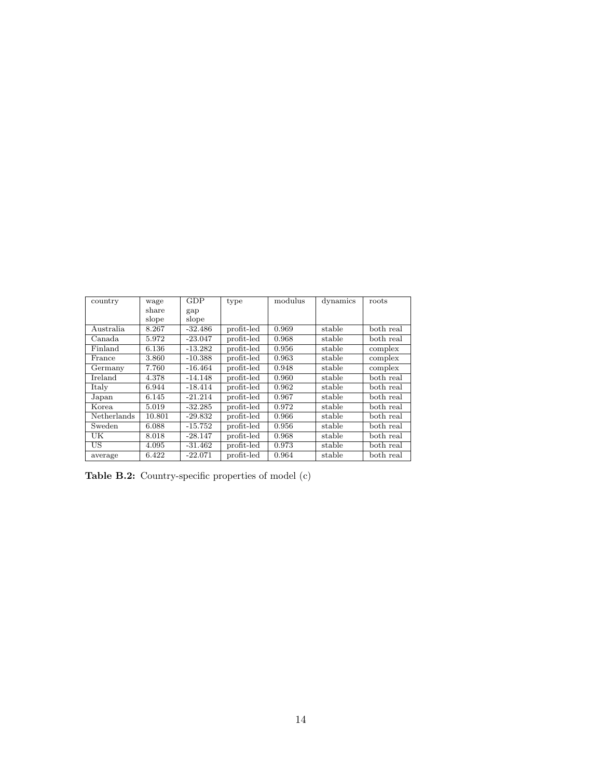| country     | wage   | GDP       | type       | modulus | dynamics | roots     |
|-------------|--------|-----------|------------|---------|----------|-----------|
|             | share  | gap       |            |         |          |           |
|             | slope  | slope     |            |         |          |           |
| Australia   | 8.267  | $-32.486$ | profit-led | 0.969   | stable   | both real |
| Canada      | 5.972  | $-23.047$ | profit-led | 0.968   | stable   | both real |
| Finland     | 6.136  | $-13.282$ | profit-led | 0.956   | stable   | complex   |
| France      | 3.860  | $-10.388$ | profit-led | 0.963   | stable   | complex   |
| Germany     | 7.760  | $-16.464$ | profit-led | 0.948   | stable   | complex   |
| Ireland     | 4.378  | $-14.148$ | profit-led | 0.960   | stable   | both real |
| Italy       | 6.944  | $-18.414$ | profit-led | 0.962   | stable   | both real |
| Japan       | 6.145  | $-21.214$ | profit-led | 0.967   | stable   | both real |
| Korea       | 5.019  | $-32.285$ | profit-led | 0.972   | stable   | both real |
| Netherlands | 10.801 | $-29.832$ | profit-led | 0.966   | stable   | both real |
| Sweden      | 6.088  | $-15.752$ | profit-led | 0.956   | stable   | both real |
| UK          | 8.018  | $-28.147$ | profit-led | 0.968   | stable   | both real |
| US          | 4.095  | $-31.462$ | profit-led | 0.973   | stable   | both real |
| average     | 6.422  | $-22.071$ | profit-led | 0.964   | stable   | both real |

Table B.2: Country-specific properties of model (c)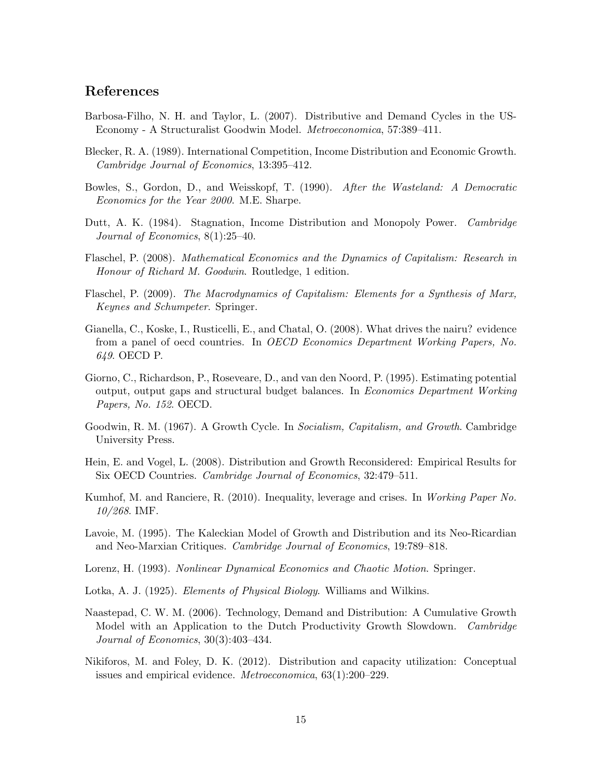### References

- Barbosa-Filho, N. H. and Taylor, L. (2007). Distributive and Demand Cycles in the US-Economy - A Structuralist Goodwin Model. Metroeconomica, 57:389–411.
- Blecker, R. A. (1989). International Competition, Income Distribution and Economic Growth. Cambridge Journal of Economics, 13:395–412.
- Bowles, S., Gordon, D., and Weisskopf, T. (1990). After the Wasteland: A Democratic Economics for the Year 2000. M.E. Sharpe.
- Dutt, A. K. (1984). Stagnation, Income Distribution and Monopoly Power. Cambridge Journal of Economics, 8(1):25–40.
- Flaschel, P. (2008). Mathematical Economics and the Dynamics of Capitalism: Research in Honour of Richard M. Goodwin. Routledge, 1 edition.
- Flaschel, P. (2009). The Macrodynamics of Capitalism: Elements for a Synthesis of Marx, Keynes and Schumpeter. Springer.
- Gianella, C., Koske, I., Rusticelli, E., and Chatal, O. (2008). What drives the nairu? evidence from a panel of oecd countries. In OECD Economics Department Working Papers, No. 649. OECD P.
- Giorno, C., Richardson, P., Roseveare, D., and van den Noord, P. (1995). Estimating potential output, output gaps and structural budget balances. In Economics Department Working Papers, No. 152. OECD.
- Goodwin, R. M. (1967). A Growth Cycle. In Socialism, Capitalism, and Growth. Cambridge University Press.
- Hein, E. and Vogel, L. (2008). Distribution and Growth Reconsidered: Empirical Results for Six OECD Countries. Cambridge Journal of Economics, 32:479–511.
- Kumhof, M. and Ranciere, R. (2010). Inequality, leverage and crises. In Working Paper No. 10/268. IMF.
- Lavoie, M. (1995). The Kaleckian Model of Growth and Distribution and its Neo-Ricardian and Neo-Marxian Critiques. Cambridge Journal of Economics, 19:789–818.
- Lorenz, H. (1993). Nonlinear Dynamical Economics and Chaotic Motion. Springer.
- Lotka, A. J. (1925). *Elements of Physical Biology*. Williams and Wilkins.
- Naastepad, C. W. M. (2006). Technology, Demand and Distribution: A Cumulative Growth Model with an Application to the Dutch Productivity Growth Slowdown. Cambridge Journal of Economics, 30(3):403–434.
- Nikiforos, M. and Foley, D. K. (2012). Distribution and capacity utilization: Conceptual issues and empirical evidence. *Metroeconomica*, 63(1):200–229.